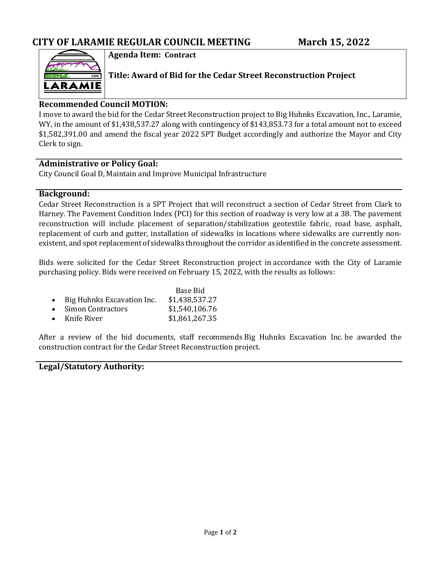

**Agenda Item: Contract**

**Title: Award of Bid for the Cedar Street Reconstruction Project**

### **Recommended Council MOTION:**

I move to award the bid for the Cedar Street Reconstruction project to Big Huhnks Excavation, Inc., Laramie, WY, in the amount of \$1,438,537.27 along with contingency of \$143,853.73 for a total amount not to exceed \$1,582,391.00 and amend the fiscal year 2022 SPT Budget accordingly and authorize the Mayor and City Clerk to sign.

### **Administrative or Policy Goal:**

City Council Goal D, Maintain and Improve Municipal Infrastructure

### **Background:**

Cedar Street Reconstruction is a SPT Project that will reconstruct a section of Cedar Street from Clark to Harney. The Pavement Condition Index (PCI) for this section of roadway is very low at a 38. The pavement reconstruction will include placement of separation/stabilization geotextile fabric, road base, asphalt, replacement of curb and gutter, installation of sidewalks in locations where sidewalks are currently nonexistent, and spot replacement of sidewalks throughout the corridor as identified in the concrete assessment.

Bids were solicited for the Cedar Street Reconstruction project in accordance with the City of Laramie purchasing policy. Bids were received on February 15, 2022, with the results as follows:

|                              | Base Bid       |  |
|------------------------------|----------------|--|
| • Big Huhnks Excavation Inc. | \$1,438,537.27 |  |
| • Simon Contractors          | \$1,540,106.76 |  |
| $\bullet$ Knife River        | \$1,861,267.35 |  |

After a review of the bid documents, staff recommends Big Huhnks Excavation Inc. be awarded the construction contract for the Cedar Street Reconstruction project.

### **Legal/Statutory Authority:**